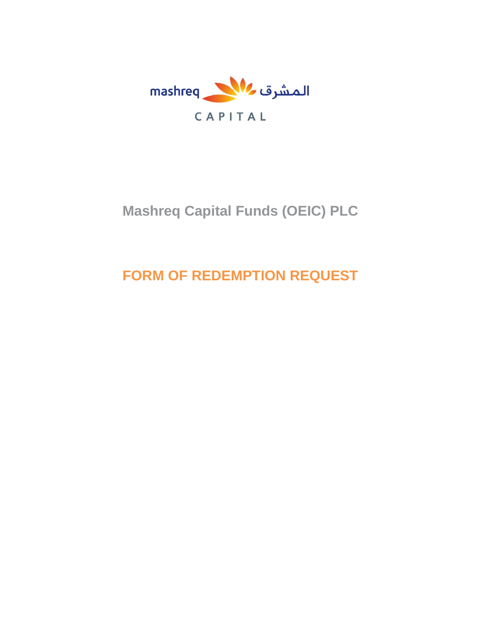

# **Mashreq Capital Funds (OEIC) PLC**

# **FORM OF REDEMPTION REQUEST**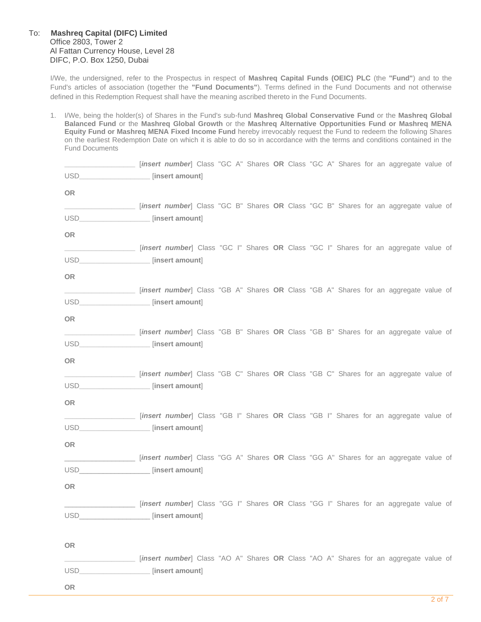### To: **Mashreq Capital (DIFC) Limited** Office 2803, Tower 2 Al Fattan Currency House, Level 28 DIFC, P.O. Box 1250, Dubai

I/We, the undersigned, refer to the Prospectus in respect of **Mashreq Capital Funds (OEIC) PLC** (the **"Fund"**) and to the Fund's articles of association (together the **"Fund Documents"**). Terms defined in the Fund Documents and not otherwise defined in this Redemption Request shall have the meaning ascribed thereto in the Fund Documents.

1. I/We, being the holder(s) of Shares in the Fund's sub-fund **Mashreq Global Conservative Fund** or the **Mashreq Global Balanced Fund** or the **Mashreq Global Growth** or the **Mashreq Alternative Opportunities Fund or Mashreq MENA Equity Fund or Mashreq MENA Fixed Income Fund** hereby irrevocably request the Fund to redeem the following Shares on the earliest Redemption Date on which it is able to do so in accordance with the terms and conditions contained in the Fund Documents

| [insert number] Class "GC A" Shares OR Class "GC A" Shares for an aggregate value of |                                                                                      |  |  |  |  |  |  |  |
|--------------------------------------------------------------------------------------|--------------------------------------------------------------------------------------|--|--|--|--|--|--|--|
| USD____________________ [insert amount]                                              |                                                                                      |  |  |  |  |  |  |  |
| OR                                                                                   |                                                                                      |  |  |  |  |  |  |  |
| [insert number] Class "GC B" Shares OR Class "GC B" Shares for an aggregate value of |                                                                                      |  |  |  |  |  |  |  |
| USD___________________ [insert amount]                                               |                                                                                      |  |  |  |  |  |  |  |
| OR                                                                                   |                                                                                      |  |  |  |  |  |  |  |
|                                                                                      | [insert number] Class "GC I" Shares OR Class "GC I" Shares for an aggregate value of |  |  |  |  |  |  |  |
| USD____________________ [insert amount]                                              |                                                                                      |  |  |  |  |  |  |  |
| OR                                                                                   |                                                                                      |  |  |  |  |  |  |  |
| [insert number] Class "GB A" Shares OR Class "GB A" Shares for an aggregate value of |                                                                                      |  |  |  |  |  |  |  |
| USD___________________ [insert amount]                                               |                                                                                      |  |  |  |  |  |  |  |
| OR                                                                                   |                                                                                      |  |  |  |  |  |  |  |
| [insert number] Class "GB B" Shares OR Class "GB B" Shares for an aggregate value of |                                                                                      |  |  |  |  |  |  |  |
| USD_____________________ [insert amount]                                             |                                                                                      |  |  |  |  |  |  |  |
| OR                                                                                   |                                                                                      |  |  |  |  |  |  |  |
| [insert number] Class "GB C" Shares OR Class "GB C" Shares for an aggregate value of |                                                                                      |  |  |  |  |  |  |  |
| USD____________________ [insert amount]                                              |                                                                                      |  |  |  |  |  |  |  |
| <b>OR</b>                                                                            |                                                                                      |  |  |  |  |  |  |  |
| [insert number] Class "GB I" Shares OR Class "GB I" Shares for an aggregate value of |                                                                                      |  |  |  |  |  |  |  |
| USD____________________ [insert amount]                                              |                                                                                      |  |  |  |  |  |  |  |
| <b>OR</b>                                                                            |                                                                                      |  |  |  |  |  |  |  |
| [insert number] Class "GG A" Shares OR Class "GG A" Shares for an aggregate value of |                                                                                      |  |  |  |  |  |  |  |
| USD____________________ [insert amount]                                              |                                                                                      |  |  |  |  |  |  |  |
| <b>OR</b>                                                                            |                                                                                      |  |  |  |  |  |  |  |
| [insert number] Class "GG I" Shares OR Class "GG I" Shares for an aggregate value of |                                                                                      |  |  |  |  |  |  |  |
| USD [insert amount]                                                                  |                                                                                      |  |  |  |  |  |  |  |
|                                                                                      |                                                                                      |  |  |  |  |  |  |  |
| OR                                                                                   |                                                                                      |  |  |  |  |  |  |  |
| [insert number] Class "AO A" Shares OR Class "AO A" Shares for an aggregate value of |                                                                                      |  |  |  |  |  |  |  |
| USD____________________ [insert amount]                                              |                                                                                      |  |  |  |  |  |  |  |
|                                                                                      |                                                                                      |  |  |  |  |  |  |  |

**OR**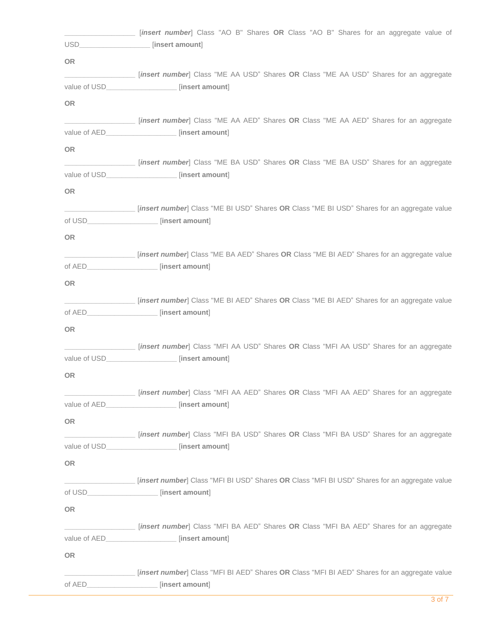|           | [insert number] Class "AO B" Shares OR Class "AO B" Shares for an aggregate value of<br>USD____________________ [insert amount]           |
|-----------|-------------------------------------------------------------------------------------------------------------------------------------------|
| <b>OR</b> |                                                                                                                                           |
|           | [insert number] Class "ME AA USD" Shares OR Class "ME AA USD" Shares for an aggregate                                                     |
|           | value of USD__________________ [insert amount]                                                                                            |
| <b>OR</b> |                                                                                                                                           |
|           | [insert number] Class "ME AA AED" Shares OR Class "ME AA AED" Shares for an aggregate                                                     |
|           | value of AED__________________ [insert amount]                                                                                            |
| OR        |                                                                                                                                           |
|           | [insert number] Class "ME BA USD" Shares OR Class "ME BA USD" Shares for an aggregate<br>value of USD__________________ [insert amount]   |
| <b>OR</b> |                                                                                                                                           |
|           | [insert number] Class "ME BI USD" Shares OR Class "ME BI USD" Shares for an aggregate value                                               |
|           | of USD__________________ [insert amount]                                                                                                  |
| <b>OR</b> |                                                                                                                                           |
|           | [insert number] Class "ME BA AED" Shares OR Class "ME BI AED" Shares for an aggregate value                                               |
|           | of AED___________________ [insert amount]                                                                                                 |
| <b>OR</b> |                                                                                                                                           |
|           | [insert number] Class "ME BI AED" Shares OR Class "ME BI AED" Shares for an aggregate value                                               |
|           | of AED___________________ [insert amount]                                                                                                 |
| <b>OR</b> |                                                                                                                                           |
|           | [insert number] Class "MFI AA USD" Shares OR Class "MFI AA USD" Shares for an aggregate                                                   |
|           | value of USD [insert amount]                                                                                                              |
| <b>OR</b> |                                                                                                                                           |
|           | [insert number] Class "MFI AA AED" Shares OR Class "MFI AA AED" Shares for an aggregate<br>value of AED__________________ [insert amount] |
|           |                                                                                                                                           |
| <b>OR</b> | [insert number] Class "MFI BA USD" Shares OR Class "MFI BA USD" Shares for an aggregate                                                   |
|           | value of USD_____________________ [insert amount]                                                                                         |
| <b>OR</b> |                                                                                                                                           |
|           | [insert number] Class "MFI BI USD" Shares OR Class "MFI BI USD" Shares for an aggregate value                                             |
|           | of USD_________________ [insert amount]                                                                                                   |
| <b>OR</b> |                                                                                                                                           |
|           | [insert number] Class "MFI BA AED" Shares OR Class "MFI BA AED" Shares for an aggregate                                                   |
|           | value of AED__________________ [insert amount]                                                                                            |
| <b>OR</b> |                                                                                                                                           |
|           | [insert number] Class "MFI BI AED" Shares OR Class "MFI BI AED" Shares for an aggregate value                                             |
|           | of AED____________________ [insert amount]                                                                                                |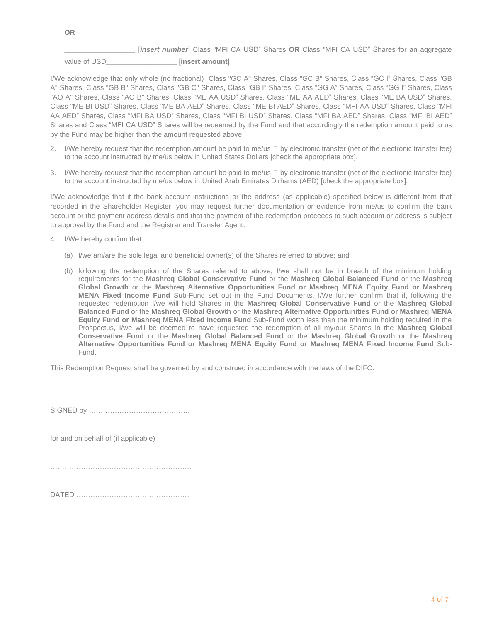**\_\_\_\_\_\_\_\_\_\_\_\_\_\_\_\_\_\_** [*insert number*] Class "MFI CA USD" Shares **OR** Class "MFI CA USD" Shares for an aggregate

value of USD**\_\_\_\_\_\_\_\_\_\_\_\_\_\_\_\_\_\_** [**insert amount**]

I/We acknowledge that only whole (no fractional) Class "GC A" Shares, Class "GC B" Shares, Class "GC I" Shares, Class "GB A" Shares, Class "GB B" Shares, Class "GB C" Shares, Class "GB I" Shares, Class "GG A" Shares, Class "GG I" Shares, Class "AO A" Shares, Class "AO B" Shares, Class "ME AA USD" Shares, Class "ME AA AED" Shares, Class "ME BA USD" Shares, Class "ME BI USD" Shares, Class "ME BA AED" Shares, Class "ME BI AED" Shares, Class "MFI AA USD" Shares, Class "MFI AA AED" Shares, Class "MFI BA USD" Shares, Class "MFI BI USD" Shares, Class "MFI BA AED" Shares, Class "MFI BI AED" Shares and Class "MFI CA USD" Shares will be redeemed by the Fund and that accordingly the redemption amount paid to us by the Fund may be higher than the amount requested above.

- 2. I/We hereby request that the redemption amount be paid to me/us  $\Box$  by electronic transfer (net of the electronic transfer fee) to the account instructed by me/us below in United States Dollars [check the appropriate box].
- 3. I/We hereby request that the redemption amount be paid to me/us  $\Box$  by electronic transfer (net of the electronic transfer fee) to the account instructed by me/us below in United Arab Emirates Dirhams (AED) [check the appropriate box].

I/We acknowledge that if the bank account instructions or the address (as applicable) specified below is different from that recorded in the Shareholder Register, you may request further documentation or evidence from me/us to confirm the bank account or the payment address details and that the payment of the redemption proceeds to such account or address is subject to approval by the Fund and the Registrar and Transfer Agent.

- 4. I/We hereby confirm that:
	- (a) I/we am/are the sole legal and beneficial owner(s) of the Shares referred to above; and
	- (b) following the redemption of the Shares referred to above, I/we shall not be in breach of the minimum holding requirements for the **Mashreq Global Conservative Fund** or the **Mashreq Global Balanced Fund** or the **Mashreq Global Growth** or the **Mashreq Alternative Opportunities Fund or Mashreq MENA Equity Fund or Mashreq MENA Fixed Income Fund** Sub-Fund set out in the Fund Documents. I/We further confirm that if, following the requested redemption I/we will hold Shares in the **Mashreq Global Conservative Fund** or the **Mashreq Global Balanced Fund** or the **Mashreq Global Growth** or the **Mashreq Alternative Opportunities Fund or Mashreq MENA Equity Fund or Mashreq MENA Fixed Income Fund** Sub-Fund worth less than the minimum holding required in the Prospectus, I/we will be deemed to have requested the redemption of all my/our Shares in the **Mashreq Global Conservative Fund** or the **Mashreq Global Balanced Fund** or the **Mashreq Global Growth** or the **Mashreq Alternative Opportunities Fund or Mashreq MENA Equity Fund or Mashreq MENA Fixed Income Fund** Sub-Fund.

This Redemption Request shall be governed by and construed in accordance with the laws of the DIFC.

SIGNED by …………………………………….

for and on behalf of (if applicable)

……………………………………………………………

|--|--|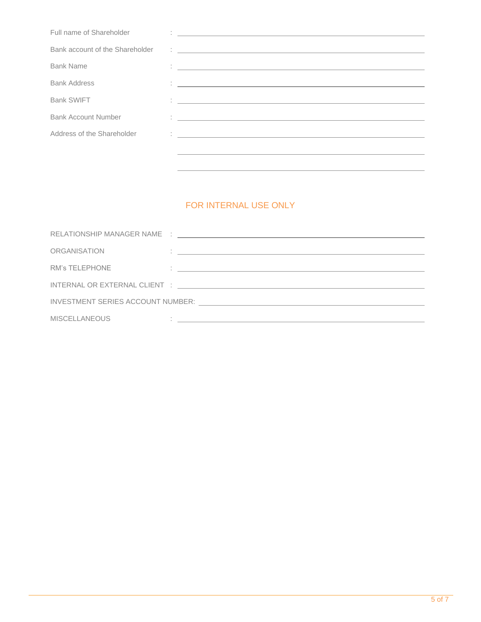| Full name of Shareholder        | <u> 1989 - Jan Sterlinger, fransk politiker (d. 1989)</u>                                                                                                                                                                                                                                                                                                                                       |
|---------------------------------|-------------------------------------------------------------------------------------------------------------------------------------------------------------------------------------------------------------------------------------------------------------------------------------------------------------------------------------------------------------------------------------------------|
| Bank account of the Shareholder | $\frac{1}{2} \left( \frac{1}{2} \frac{1}{2} \left( \frac{1}{2} \frac{1}{2} \frac{1}{2} \frac{1}{2} \frac{1}{2} \frac{1}{2} \frac{1}{2} \frac{1}{2} \frac{1}{2} \frac{1}{2} \frac{1}{2} \frac{1}{2} \frac{1}{2} \frac{1}{2} \frac{1}{2} \frac{1}{2} \frac{1}{2} \frac{1}{2} \frac{1}{2} \frac{1}{2} \frac{1}{2} \frac{1}{2} \frac{1}{2} \frac{1}{2} \frac{1}{2} \frac{1}{2} \frac{1}{2} \frac{1$ |
| <b>Bank Name</b>                | <u> 1986 - Johann John Stein, fransk politiker (d. 1988)</u>                                                                                                                                                                                                                                                                                                                                    |
| <b>Bank Address</b>             | <u> 1980 - Jan Samuel Barbara, martin a shekara tsara 1980 - An tsara 1980 - An tsara 1980 - An tsara 1980 - An t</u>                                                                                                                                                                                                                                                                           |
| <b>Bank SWIFT</b>               | <u> 1986 - Jan Sterne Sterne Sterne Sterne Sterne Sterne Sterne Sterne Sterne Sterne Sterne Sterne Sterne Sterne S</u>                                                                                                                                                                                                                                                                          |
| <b>Bank Account Number</b>      | 1. 이 사이 시간 사이 시간 사이에 대한 사이에 대한 사이에 대한 사이를 하고 있다.                                                                                                                                                                                                                                                                                                                                                |
| Address of the Shareholder      | <u> 1989 - Johann John Stein, fransk politiker (d. 1989)</u>                                                                                                                                                                                                                                                                                                                                    |
|                                 |                                                                                                                                                                                                                                                                                                                                                                                                 |
|                                 |                                                                                                                                                                                                                                                                                                                                                                                                 |

# FOR INTERNAL USE ONLY

| ORGANISATION                                                                                                   | <u> 1990 - Jan James Sandarík (f. 1980)</u>                                                                          |  |  |  |  |
|----------------------------------------------------------------------------------------------------------------|----------------------------------------------------------------------------------------------------------------------|--|--|--|--|
| <b>RM's TELEPHONE</b>                                                                                          | <u> 1986 - Jan Alexandri, politik eta politik eta politik eta politik eta politik eta politik eta politik eta po</u> |  |  |  |  |
|                                                                                                                |                                                                                                                      |  |  |  |  |
| INVESTMENT SERIES ACCOUNT NUMBER: UNIVERSITY OF A SERIES ACCOUNT NUMBER OF A SERIES AND THE SERIES OF A SERIES |                                                                                                                      |  |  |  |  |
| <b>MISCELLANEOUS</b>                                                                                           | <u> 1986 - Johann John Stein, markin fan it ferstjer fan de ferstjer fan it ferstjer fan it ferstjer fan it fers</u> |  |  |  |  |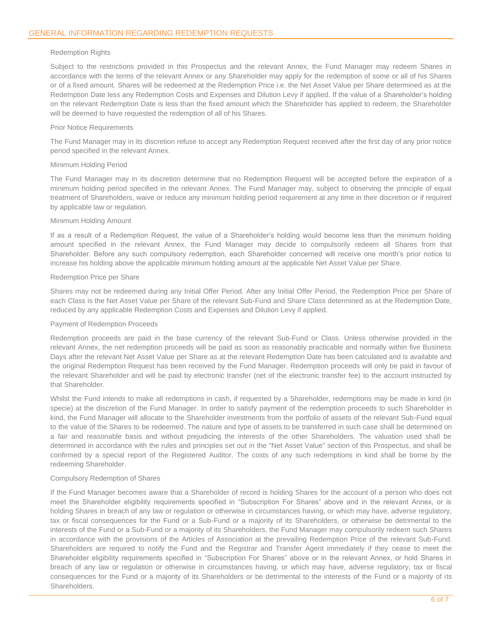#### Redemption Rights

Subject to the restrictions provided in this Prospectus and the relevant Annex, the Fund Manager may redeem Shares in accordance with the terms of the relevant Annex or any Shareholder may apply for the redemption of some or all of his Shares or of a fixed amount. Shares will be redeemed at the Redemption Price i.e. the Net Asset Value per Share determined as at the Redemption Date less any Redemption Costs and Expenses and Dilution Levy if applied. If the value of a Shareholder's holding on the relevant Redemption Date is less than the fixed amount which the Shareholder has applied to redeem, the Shareholder will be deemed to have requested the redemption of all of his Shares.

#### Prior Notice Requirements

The Fund Manager may in its discretion refuse to accept any Redemption Request received after the first day of any prior notice period specified in the relevant Annex.

#### Minimum Holding Period

The Fund Manager may in its discretion determine that no Redemption Request will be accepted before the expiration of a minimum holding period specified in the relevant Annex. The Fund Manager may, subject to observing the principle of equal treatment of Shareholders, waive or reduce any minimum holding period requirement at any time in their discretion or if required by applicable law or regulation.

#### Minimum Holding Amount

If as a result of a Redemption Request, the value of a Shareholder's holding would become less than the minimum holding amount specified in the relevant Annex, the Fund Manager may decide to compulsorily redeem all Shares from that Shareholder. Before any such compulsory redemption, each Shareholder concerned will receive one month's prior notice to increase his holding above the applicable minimum holding amount at the applicable Net Asset Value per Share.

#### Redemption Price per Share

Shares may not be redeemed during any Initial Offer Period. After any Initial Offer Period, the Redemption Price per Share of each Class is the Net Asset Value per Share of the relevant Sub-Fund and Share Class determined as at the Redemption Date, reduced by any applicable Redemption Costs and Expenses and Dilution Levy if applied.

#### Payment of Redemption Proceeds

Redemption proceeds are paid in the base currency of the relevant Sub-Fund or Class. Unless otherwise provided in the relevant Annex, the net redemption proceeds will be paid as soon as reasonably practicable and normally within five Business Days after the relevant Net Asset Value per Share as at the relevant Redemption Date has been calculated and is available and the original Redemption Request has been received by the Fund Manager. Redemption proceeds will only be paid in favour of the relevant Shareholder and will be paid by electronic transfer (net of the electronic transfer fee) to the account instructed by that Shareholder.

Whilst the Fund intends to make all redemptions in cash, if requested by a Shareholder, redemptions may be made in kind (in specie) at the discretion of the Fund Manager. In order to satisfy payment of the redemption proceeds to such Shareholder in kind, the Fund Manager will allocate to the Shareholder investments from the portfolio of assets of the relevant Sub-Fund equal to the value of the Shares to be redeemed. The nature and type of assets to be transferred in such case shall be determined on a fair and reasonable basis and without prejudicing the interests of the other Shareholders. The valuation used shall be determined in accordance with the rules and principles set out in the "Net Asset Value" section of this Prospectus, and shall be confirmed by a special report of the Registered Auditor. The costs of any such redemptions in kind shall be borne by the redeeming Shareholder.

#### Compulsory Redemption of Shares

If the Fund Manager becomes aware that a Shareholder of record is holding Shares for the account of a person who does not meet the Shareholder eligibility requirements specified in "Subscription For Shares" above and in the relevant Annex, or is holding Shares in breach of any law or regulation or otherwise in circumstances having, or which may have, adverse regulatory, tax or fiscal consequences for the Fund or a Sub-Fund or a majority of its Shareholders, or otherwise be detrimental to the interests of the Fund or a Sub-Fund or a majority of its Shareholders, the Fund Manager may compulsorily redeem such Shares in accordance with the provisions of the Articles of Association at the prevailing Redemption Price of the relevant Sub-Fund. Shareholders are required to notify the Fund and the Registrar and Transfer Agent immediately if they cease to meet the Shareholder eligibility requirements specified in "Subscription For Shares" above or in the relevant Annex, or hold Shares in breach of any law or regulation or otherwise in circumstances having, or which may have, adverse regulatory, tax or fiscal consequences for the Fund or a majority of its Shareholders or be detrimental to the interests of the Fund or a majority of its Shareholders.